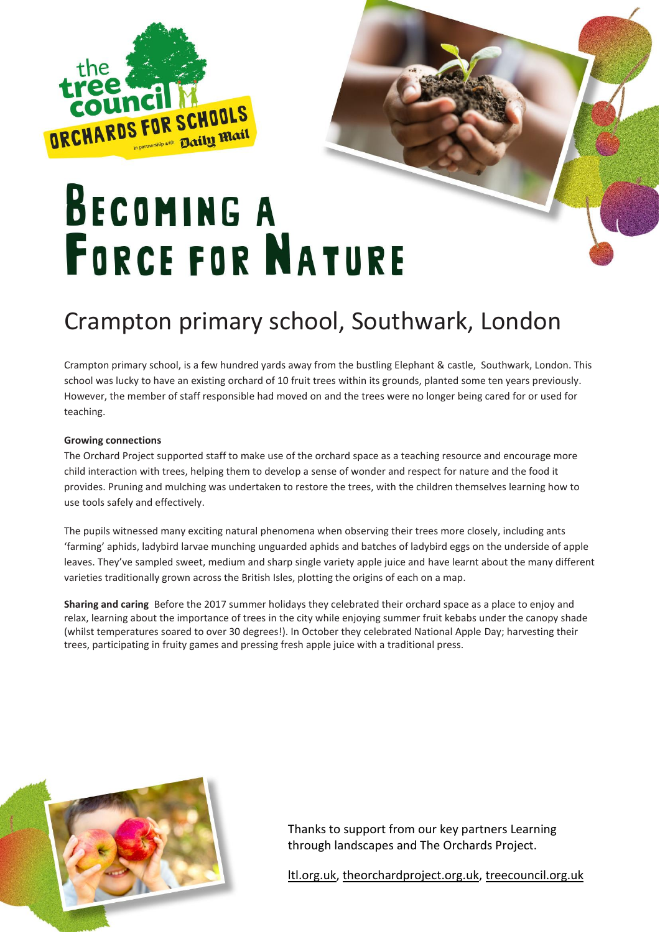

## **BECOMING A FORCE FOR NATURE**

### Crampton primary school, Southwark, London

Crampton primary school, is a few hundred yards away from the bustling Elephant & castle, Southwark, London. This school was lucky to have an existing orchard of 10 fruit trees within its grounds, planted some ten years previously. However, the member of staff responsible had moved on and the trees were no longer being cared for or used for teaching.

#### **Growing connections**

The Orchard Project supported staff to make use of the orchard space as a teaching resource and encourage more child interaction with trees, helping them to develop a sense of wonder and respect for nature and the food it provides. Pruning and mulching was undertaken to restore the trees, with the children themselves learning how to use tools safely and effectively.

The pupils witnessed many exciting natural phenomena when observing their trees more closely, including ants 'farming' aphids, ladybird larvae munching unguarded aphids and batches of ladybird eggs on the underside of apple leaves. They've sampled sweet, medium and sharp single variety apple juice and have learnt about the many different varieties traditionally grown across the British Isles, plotting the origins of each on a map.

**Sharing and caring** Before the 2017 summer holidays they celebrated their orchard space as a place to enjoy and relax, learning about the importance of trees in the city while enjoying summer fruit kebabs under the canopy shade (whilst temperatures soared to over 30 degrees!). In October they celebrated National Apple Day; harvesting their trees, participating in fruity games and pressing fresh apple juice with a traditional press.



Thanks to support from our key partners Learning through landscapes and The Orchards Project.

[ltl.org.uk,](https://www.ltl.org.uk/) [theorchardproject.org.uk,](https://www.theorchardproject.org.uk/) [treecouncil.org.uk](https://treecouncil.org.uk/)